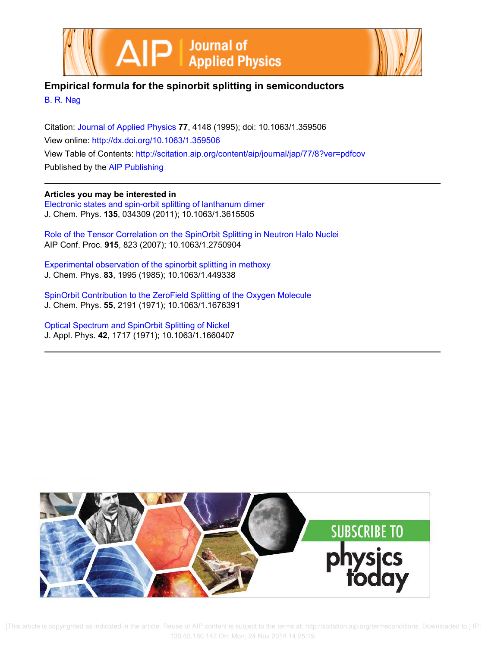



## **Empirical formula for the spinorbit splitting in semiconductors**

B. R. Nag

Citation: Journal of Applied Physics **77**, 4148 (1995); doi: 10.1063/1.359506 View online: http://dx.doi.org/10.1063/1.359506 View Table of Contents: http://scitation.aip.org/content/aip/journal/jap/77/8?ver=pdfcov Published by the AIP Publishing

**Articles you may be interested in** Electronic states and spin-orbit splitting of lanthanum dimer J. Chem. Phys. **135**, 034309 (2011); 10.1063/1.3615505

Role of the Tensor Correlation on the SpinOrbit Splitting in Neutron Halo Nuclei AIP Conf. Proc. **915**, 823 (2007); 10.1063/1.2750904

Experimental observation of the spinorbit splitting in methoxy J. Chem. Phys. **83**, 1995 (1985); 10.1063/1.449338

SpinOrbit Contribution to the ZeroField Splitting of the Oxygen Molecule J. Chem. Phys. **55**, 2191 (1971); 10.1063/1.1676391

Optical Spectrum and SpinOrbit Splitting of Nickel J. Appl. Phys. **42**, 1717 (1971); 10.1063/1.1660407



 [This article is copyrighted as indicated in the article. Reuse of AIP content is subject to the terms at: http://scitation.aip.org/termsconditions. Downloaded to ] IP: 130.63.180.147 On: Mon, 24 Nov 2014 14:25:19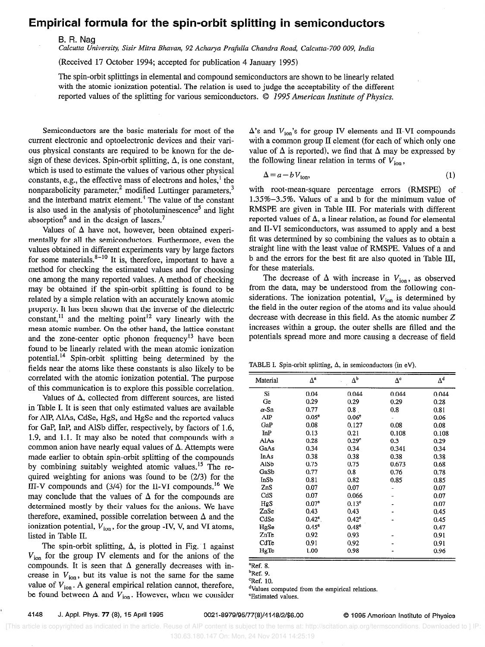## Empirical formula for the spin-orbit splitting in semiconductors

B. R. Nag

Calcutta University, Sisir Mitra Bhavan, 92 Acharya Prafulla Chandra Road, Calcutta-700 009, India

(Received 17 October 1994; accepted for publication 4 January 1995)

The spin-orbit splittings in elemental and compound semiconductors are shown to be linearly related with the atomic ionization potential. The relation is used to judge the acceptability of the different reported values of the splitting for various semiconductors. © 1995 American Institute of Physics.

Semiconductors are the basic materials for most of the current electronic and optoelectronic devices and their various physical constants are required to be known for the design of these devices. Spin-orbit splitting,  $\Delta$ , is one constant, which is used to estimate the values of various other physical constants, e.g., the effective mass of electrons and holes,' the nonparabolicity parameter,<sup>2</sup> modified Luttinger parameters,<sup>3</sup> and the interband matrix element.<sup>4</sup> The value of the constant is also used in the analysis of photoluminescence<sup>5</sup> and light absorption<sup>6</sup> and in the design of lasers.<sup>7</sup>

Values of  $\Delta$  have not, however, been obtained experimentally for all the semiconductors. Furthermore, even the values obtained in different experiments vary by large factors for some materials. $8-10$  It is, therefore, important to have a method for checking the estimated values and for choosing one among the many reported values. A method of checking may be obtained if the spin-orbit splitting is found to be related by a simple relation with an accurately known atomic property. It has been shown that the inverse of the dielectric constant, $^{11}$  and the melting point $^{12}$  vary linearly with the mean atomic number. On the other hand, the lattice constant and the zone-center optic phonon frequency<sup>13</sup> have been found to be linearly related with the mean atomic ionization potential.14 Spin-orbit splitting being determined by the fields near the atoms like these constants is also likely to be correlated with the atomic ionization potential. The purpose of this communication is to explore this possible correlation.

Values of  $\Delta$ , collected from different sources, are listed in Table I. It is seen that only estimated values are available for AlP, AlAs, CdSe, HgS, and HgSe and the reported values for GaP, InP, and AlSb differ, respectively, by factors of 1.6, 1.9, and 1.1. It may also be noted that compounds with a common anion have nearly equal values of  $\Delta$ . Attempts were made earlier to obtain spin-orbit splitting of the compounds by combining suitably weighted atomic values.15 The required weighting for anions was found to be (2/3) for the III-V compounds and  $(3/4)$  for the II-VI compounds.<sup>16</sup> We may conclude that the values of  $\Delta$  for the compounds are determined mostly by their values for the anions. We have therefore, examined, possible correlation between  $\Delta$  and the ionization potential,  $V_{ion}$ , for the group -IV, V, and VI atoms, listed in Table II.

The spin-orbit splitting,  $\Delta$ , is plotted in Fig. 1 against  $V_{\text{ion}}$  for the group IV elements and for the anions of the compounds. It is seen that  $\Delta$  generally decreases with increase in  $V_{\text{ion}}$ , but its value is not the same for the same value of  $V_{\text{ion}}$ . A general empirical relation cannot, therefore, be found between  $\Delta$  and  $V_{\text{ion}}$ . However, when we consider  $\Delta$ 's and  $V_{\text{ion}}$ 's for group IV elements and II-VI compounds with a common group II element (for each of which only one value of  $\Delta$  is reported), we find that  $\Delta$  may be expressed by the following linear relation in terms of  $V_{\text{ion}}$ ,

$$
\Delta = a - b V_{\text{ion}},\tag{1}
$$

with root-mean-square percentage errors (RMSPE) of 1.35%-3.5%. Values of a and b for the minimum value of RMSPE are given in Table III. For materials with different reported values of  $\Delta$ , a linear relation, as found for elemental and II-VI semiconductors, was assumed to apply and a best fit was determined by so combining the values as to obtain a straight line with the least value of RMSPE. Values of a and b and the errors for the best fit are also quoted in Table III, for these materials.

The decrease of  $\Delta$  with increase in  $V_{\text{ion}}$ , as observed from the data, may be understood from the following considerations. The ionization potential,  $V_{\text{ion}}$  is determined by the field in the outer region of the atoms and its value should decrease with decrease in this field. As the atomic number Z increases within a group, the outer shells are filled and the potentials spread more and more causing a decrease of field

TABLE I. Spin-orbit splitting,  $\Delta$ , in semiconductors (in eV).

| Material    | $\Delta^a$        | $\Delta^\mathtt{b}$ | $\Delta^{\rm c}$ | $\Delta^{\rm d}$ |
|-------------|-------------------|---------------------|------------------|------------------|
| Si          | 0.04              | 0.044               | 0.044            | 0.044            |
| Ge          | 0.29              | 0.29                | 0.29             | 0.28             |
| α-Sn        | 0.77              | 0.8                 | 0.8              | 0.81             |
| AIP         | 0.05 <sup>e</sup> | 0.06 <sup>e</sup>   |                  | 0.06             |
| GaP         | 0.08              | 0.127               | 0.08             | 0.08             |
| InP         | 0.13              | 0.21                | 0.108            | 0.108            |
| <b>AlAs</b> | 0.28              | 0.29 <sup>e</sup>   | 0.3              | 0.29             |
| GaAs        | 0.34              | 0.34                | 0.341            | 0.34             |
| InAs        | 0.38              | 0.38                | 0.38             | 0.38             |
| AlSb        | 0.75              | 0.75                | 0.673            | 0.68             |
| GaSb        | 0.77              | 0.8                 | 0.76             | 0.78             |
| InSb        | 0.81              | 0.82                | 0.85             | 0.85             |
| ZnS         | 0.07              | 0.07                |                  | 0.07             |
| CdS         | 0.07              | 0.066               |                  | 0.07             |
| HgS         | 0.07 <sup>e</sup> | 0.13 <sup>e</sup>   |                  | 0.07             |
| ZnSe        | 0.43              | 0.43                |                  | 0.45             |
| CdSe        | $0.42^{\circ}$ .  | $0.42^e$            |                  | 0.45             |
| HgSe        | $0.45^{\circ}$    | 0.48 <sup>c</sup>   |                  | 0.47             |
| ZnTe        | 0.92              | 0.93                |                  | 0.91             |
| CdTe        | 0.91              | 0.92                |                  | 0.91             |
| HgTe        | 1.00              | 0.98                |                  | 0.96             |

 $Ref. 8.$ 

<sup>b</sup>Ref. 9.

dValues computed from the empirical relations.

'Estimated values.

 $^{\circ}$ Ref. 10.

 <sup>[</sup>This article is copyrighted as indicated in the article. Reuse of AIP content is subject to the terms at: http://scitation.aip.org/termsconditions. Downloaded to ] IP: 130.63.180.147 On: Mon, 24 Nov 2014 14:25:19